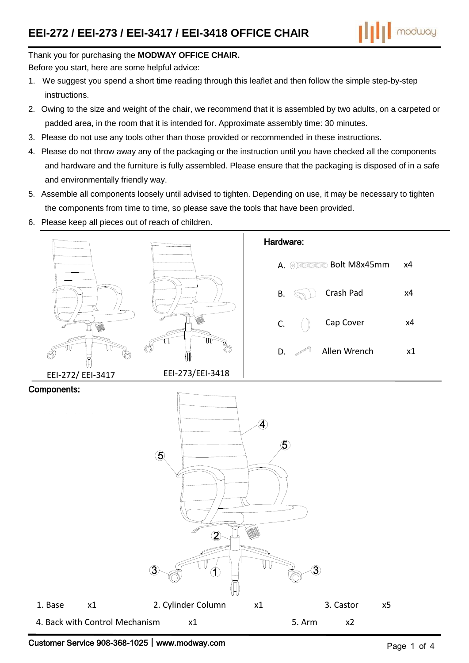

#### Thank you for purchasing the **MODWAY OFFICE CHAIR.**

Before you start, here are some helpful advice:

- 1. We suggest you spend a short time reading through this leaflet and then follow the simple step-by-step instructions.
- 2. Owing to the size and weight of the chair, we recommend that it is assembled by two adults, on a carpeted or padded area, in the room that it is intended for. Approximate assembly time: 30 minutes.
- 3. Please do not use any tools other than those provided or recommended in these instructions.
- 4. Please do not throw away any of the packaging or the instruction until you have checked all the components and hardware and the furniture is fully assembled. Please ensure that the packaging is disposed of in a safe and environmentally friendly way.
- 5. Assemble all components loosely until advised to tighten. Depending on use, it may be necessary to tighten the components from time to time, so please save the tools that have been provided.
- 6. Please keep all pieces out of reach of children.

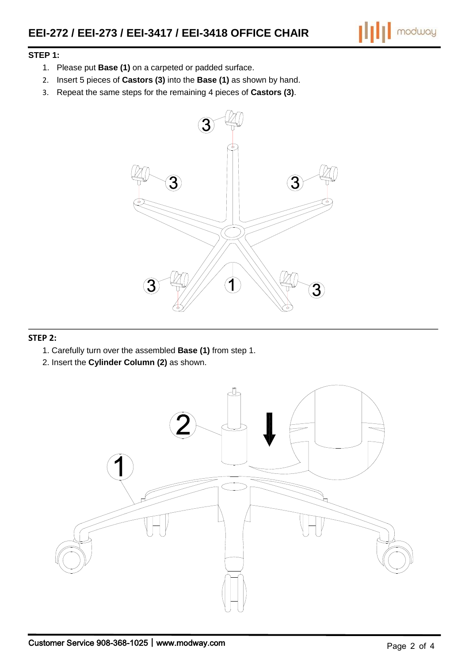$\left\| \right\|$  modway

#### **STEP 1:**

- 1. Please put **Base (1)** on a carpeted or padded surface.
- 2. Insert 5 pieces of **Castors (3)** into the **Base (1)** as shown by hand.
- 3. Repeat the same steps for the remaining 4 pieces of **Castors (3)**.



#### **STEP 2:**

- 1. Carefully turn over the assembled **Base (1)** from step 1.
- 2. Insert the **Cylinder Column (2)** as shown.

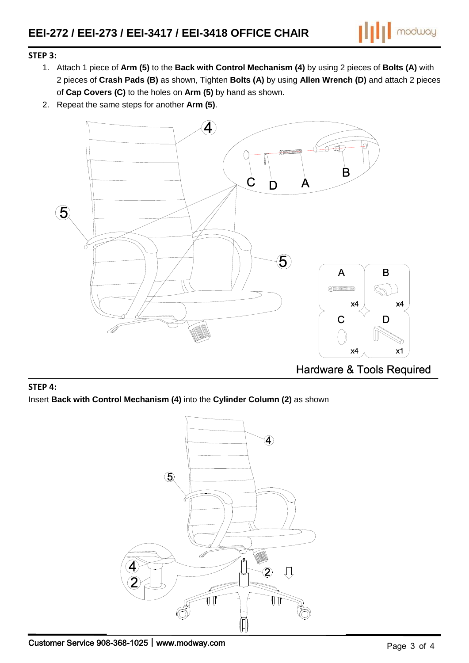

## **STEP 3:**

- 1. Attach 1 piece of **Arm (5)** to the **Back with Control Mechanism (4)** by using 2 pieces of **Bolts (A)** with 2 pieces of **Crash Pads (B)** as shown, Tighten **Bolts (A)** by using **Allen Wrench (D)** and attach 2 pieces of **Cap Covers (C)** to the holes on **Arm (5)** by hand as shown.
- 2. Repeat the same steps for another **Arm (5)**.



# **STEP 4:** Insert **Back with Control Mechanism (4)** into the **Cylinder Column (2)** as shown